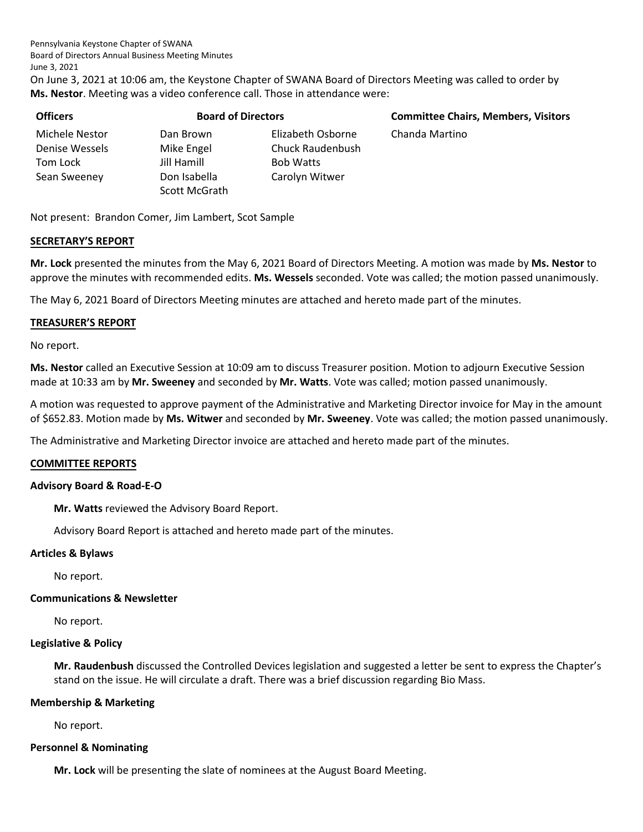On June 3, 2021 at 10:06 am, the Keystone Chapter of SWANA Board of Directors Meeting was called to order by **Ms. Nestor**. Meeting was a video conference call. Those in attendance were:

| Officers       |
|----------------|
| Michele Nestor |
| Denise Wessels |
| Tom Lock       |
| Sean Sweeney   |
|                |

Jill Hamill Bob Watts Don Isabella Carolyn Witwer Scott McGrath

Dan Brown **Elizabeth Osborne** Chanda Martino Mike Engel Chuck Raudenbush

**Officers Board of Directors Committee Chairs, Members, Visitors**

Not present: Brandon Comer, Jim Lambert, Scot Sample

## **SECRETARY'S REPORT**

**Mr. Lock** presented the minutes from the May 6, 2021 Board of Directors Meeting. A motion was made by **Ms. Nestor** to approve the minutes with recommended edits. **Ms. Wessels** seconded. Vote was called; the motion passed unanimously.

The May 6, 2021 Board of Directors Meeting minutes are attached and hereto made part of the minutes.

## **TREASURER'S REPORT**

No report.

**Ms. Nestor** called an Executive Session at 10:09 am to discuss Treasurer position. Motion to adjourn Executive Session made at 10:33 am by **Mr. Sweeney** and seconded by **Mr. Watts**. Vote was called; motion passed unanimously.

A motion was requested to approve payment of the Administrative and Marketing Director invoice for May in the amount of \$652.83. Motion made by **Ms. Witwer** and seconded by **Mr. Sweeney**. Vote was called; the motion passed unanimously.

The Administrative and Marketing Director invoice are attached and hereto made part of the minutes.

## **COMMITTEE REPORTS**

### **Advisory Board & Road-E-O**

**Mr. Watts** reviewed the Advisory Board Report.

Advisory Board Report is attached and hereto made part of the minutes.

### **Articles & Bylaws**

No report.

## **Communications & Newsletter**

No report.

### **Legislative & Policy**

**Mr. Raudenbush** discussed the Controlled Devices legislation and suggested a letter be sent to express the Chapter's stand on the issue. He will circulate a draft. There was a brief discussion regarding Bio Mass.

### **Membership & Marketing**

No report.

## **Personnel & Nominating**

**Mr. Lock** will be presenting the slate of nominees at the August Board Meeting.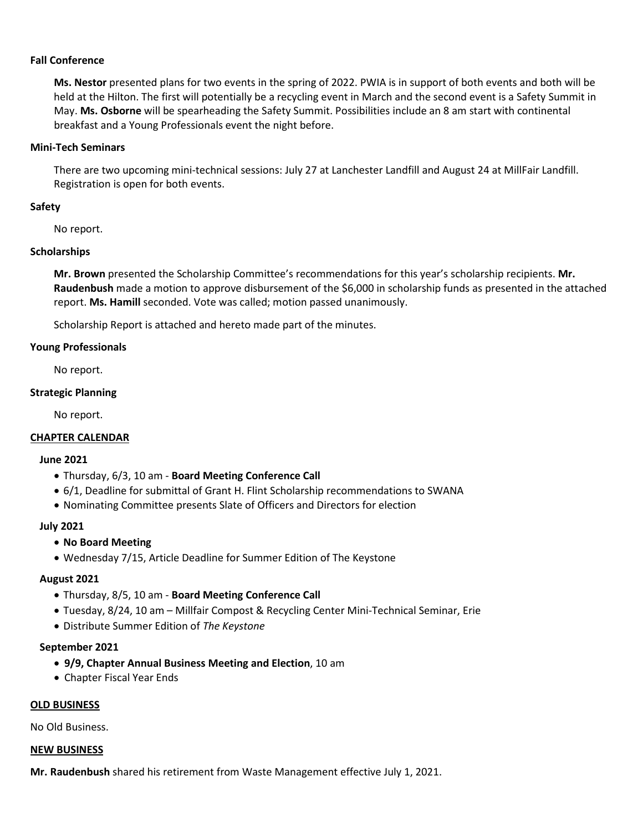### **Fall Conference**

**Ms. Nestor** presented plans for two events in the spring of 2022. PWIA is in support of both events and both will be held at the Hilton. The first will potentially be a recycling event in March and the second event is a Safety Summit in May. **Ms. Osborne** will be spearheading the Safety Summit. Possibilities include an 8 am start with continental breakfast and a Young Professionals event the night before.

## **Mini-Tech Seminars**

There are two upcoming mini-technical sessions: July 27 at Lanchester Landfill and August 24 at MillFair Landfill. Registration is open for both events.

## **Safety**

No report.

## **Scholarships**

**Mr. Brown** presented the Scholarship Committee's recommendations for this year's scholarship recipients. **Mr. Raudenbush** made a motion to approve disbursement of the \$6,000 in scholarship funds as presented in the attached report. **Ms. Hamill** seconded. Vote was called; motion passed unanimously.

Scholarship Report is attached and hereto made part of the minutes.

## **Young Professionals**

No report.

## **Strategic Planning**

No report.

## **CHAPTER CALENDAR**

### **June 2021**

- Thursday, 6/3, 10 am **Board Meeting Conference Call**
- 6/1, Deadline for submittal of Grant H. Flint Scholarship recommendations to SWANA
- Nominating Committee presents Slate of Officers and Directors for election

## **July 2021**

## • **No Board Meeting**

• Wednesday 7/15, Article Deadline for Summer Edition of The Keystone

## **August 2021**

- Thursday, 8/5, 10 am **Board Meeting Conference Call**
- Tuesday, 8/24, 10 am Millfair Compost & Recycling Center Mini-Technical Seminar, Erie
- Distribute Summer Edition of *The Keystone*

## **September 2021**

- **9/9, Chapter Annual Business Meeting and Election**, 10 am
- Chapter Fiscal Year Ends

## **OLD BUSINESS**

No Old Business.

### **NEW BUSINESS**

**Mr. Raudenbush** shared his retirement from Waste Management effective July 1, 2021.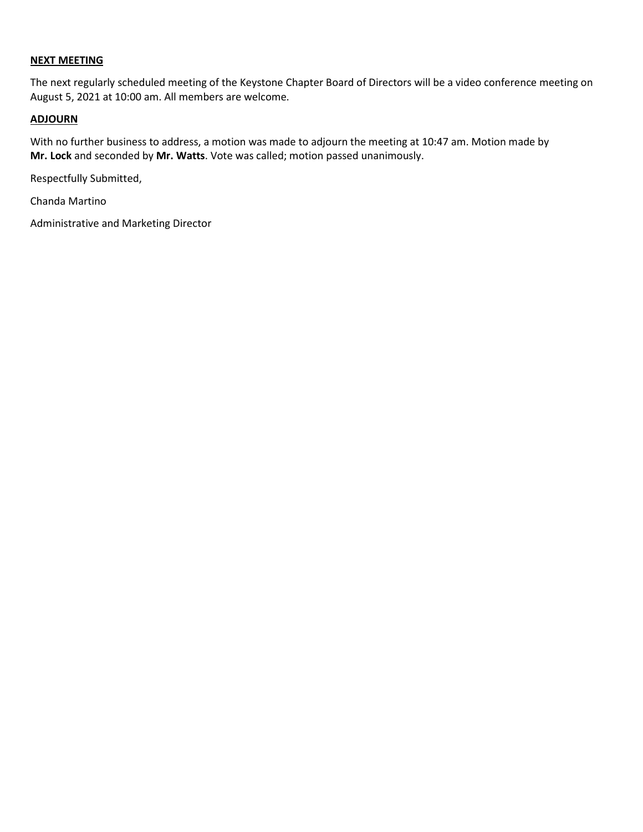## **NEXT MEETING**

The next regularly scheduled meeting of the Keystone Chapter Board of Directors will be a video conference meeting on August 5, 2021 at 10:00 am. All members are welcome.

## **ADJOURN**

With no further business to address, a motion was made to adjourn the meeting at 10:47 am. Motion made by **Mr. Lock** and seconded by **Mr. Watts**. Vote was called; motion passed unanimously.

Respectfully Submitted,

Chanda Martino

Administrative and Marketing Director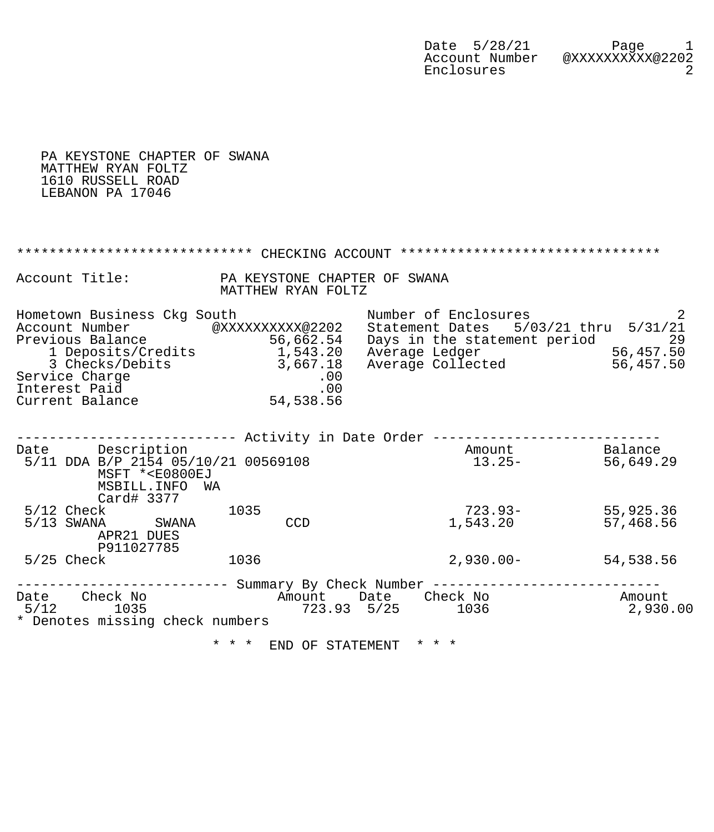| Date 5/28/21   | Page             |
|----------------|------------------|
| Account Number | @XXXXXXXXXX@2202 |
| Enclosures     |                  |

 PA KEYSTONE CHAPTER OF SWANA MATTHEW RYAN FOLTZ 1610 RUSSELL ROAD LEBANON PA 17046 \*\*\*\*\*\*\*\*\*\*\*\*\*\*\*\*\*\*\*\*\*\*\*\*\*\*\* CHECKING ACCOUNT \*\*\*\*\*\*\*\*\*\*\*\*\*\*\*\*\*\*\*\*\*\*\*\*\*\*\*\*\*\*\* Account Title: PA KEYSTONE CHAPTER OF SWANA<br>MATTHEW RYAN FOLTZ MATTHEW RYAN FOLTZ Hometown Business Ckg South Number of Enclosures 2 Account Number @XXXXXXXXXX@2202 Statement Dates 5/03/21 thru 5/31/21 Previous Balance 56,662.54 Days in the statement period 29 1 Deposits/Credits 1,543.20 Average Ledger 56,457.50 3 Checks/Debits 3,667.18 Average Collected 56,457.50 Service Charge .00 Interest Paid .00 Current Balance 54,538.56 --------------------------- Activity in Date Order ---------------------------- Date Description **Description Balance Amount** Balance 5/11 DDA B/P 2154 05/10/21 00569108 13.25- 56,649.29 MSFT \*<E0800EJ MSBILL.INFO WA Card# 3377 5/12 Check 1035 723.93- 55,925.36 5/13 SWANA SWANA CCD 1,543.20 57,468.56 APR21 DUES P911027785 5/25 Check 1036 1036 2,930.00- 54,538.56 ------------------------- Summary By Check Number ------------------------------<br>Date Check No Amount Date Check No Amount Date Check No Amount Date Check No Amount 5/12 1035 723.93 5/25 1036 2,930.00 \* Denotes missing check numbers

\* \* \* END OF STATEMENT \* \* \*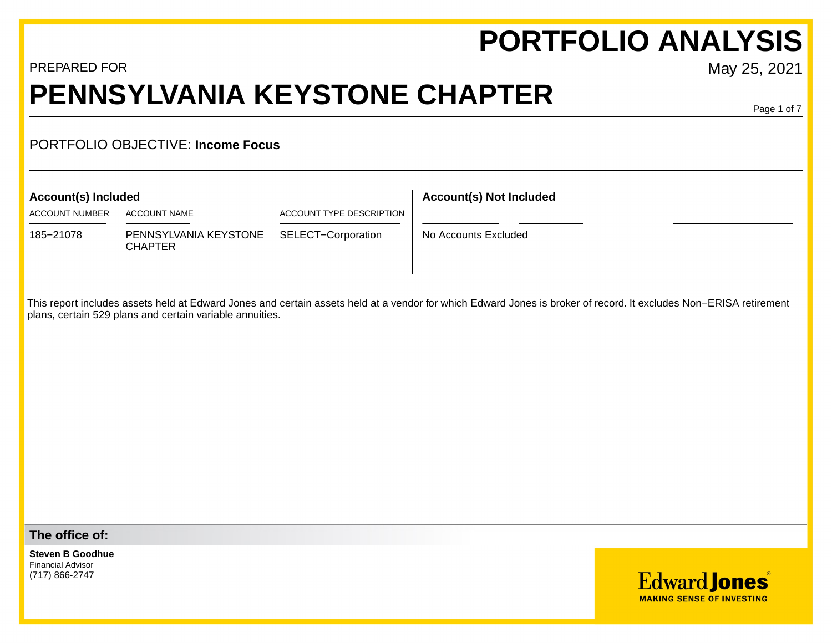# **PORTFOLIO ANALYSIS**

## PREPARED FOR May 25, 2021 **PENNSYLVANIA KEYSTONE CHAPTER**

Page 1 of 7

## PORTFOLIO OBJECTIVE: **Income Focus**

ACCOUNT NUMBER ACCOUNT NAME ACCOUNT TYPE DESCRIPTION

185−21078 PENNSYLVANIA KEYSTONE SELECT−Corporation No Accounts Excluded CHAPTER

## **Account(s) Included Account(s) Not Included**

This report includes assets held at Edward Jones and certain assets held at a vendor for which Edward Jones is broker of record. It excludes Non−ERISA retirement plans, certain 529 plans and certain variable annuities.

**The office of:**

**Steven B Goodhue** Financial Advisor (717) 866-2747

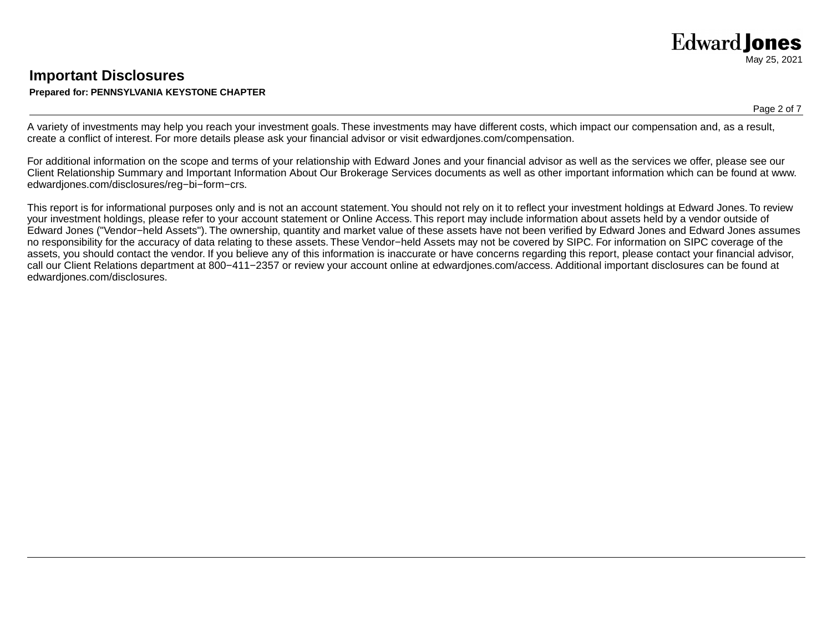## **Important Disclosures Prepared for: PENNSYLVANIA KEYSTONE CHAPTER**

### Page 2 of 7

A variety of investments may help you reach your investment goals. These investments may have different costs, which impact our compensation and, as a result, create a conflict of interest. For more details please ask your financial advisor or visit edwardjones.com/compensation.

For additional information on the scope and terms of your relationship with Edward Jones and your financial advisor as well as the services we offer, please see our Client Relationship Summary and Important Information About Our Brokerage Services documents as well as other important information which can be found at www. edwardjones.com/disclosures/reg−bi−form−crs.

This report is for informational purposes only and is not an account statement. You should not rely on it to reflect your investment holdings at Edward Jones. To review your investment holdings, please refer to your account statement or Online Access. This report may include information about assets held by a vendor outside of Edward Jones ("Vendor−held Assets"). The ownership, quantity and market value of these assets have not been verified by Edward Jones and Edward Jones assumes no responsibility for the accuracy of data relating to these assets. These Vendor−held Assets may not be covered by SIPC. For information on SIPC coverage of the assets, you should contact the vendor. If you believe any of this information is inaccurate or have concerns regarding this report, please contact your financial advisor, call our Client Relations department at 800−411−2357 or review your account online at edwardjones.com/access. Additional important disclosures can be found at edwardjones.com/disclosures.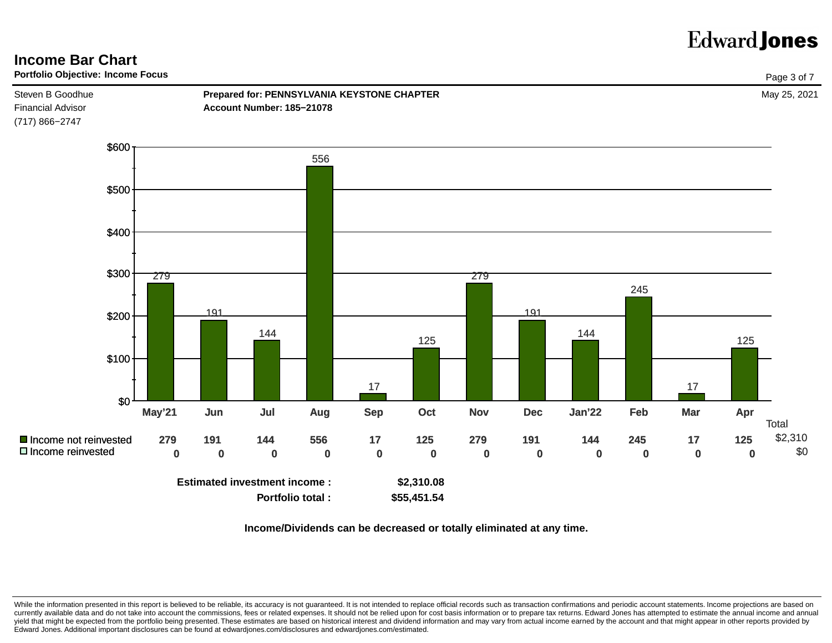

**Income/Dividends can be decreased or totally eliminated at any time.**

While the information presented in this report is believed to be reliable, its accuracy is not guaranteed. It is not intended to replace official records such as transaction confirmations and periodic account statements. I currently available data and do not take into account the commissions, fees or related expenses. It should not be relied upon for cost basis information or to prepare tax returns. Edward Jones has attempted to estimate the yield that might be expected from the portfolio being presented. These estimates are based on historical interest and dividend information and may vary from actual income earned by the account and that might appear in othe Edward Jones. Additional important disclosures can be found at edwardjones.com/disclosures and edwardjones.com/estimated.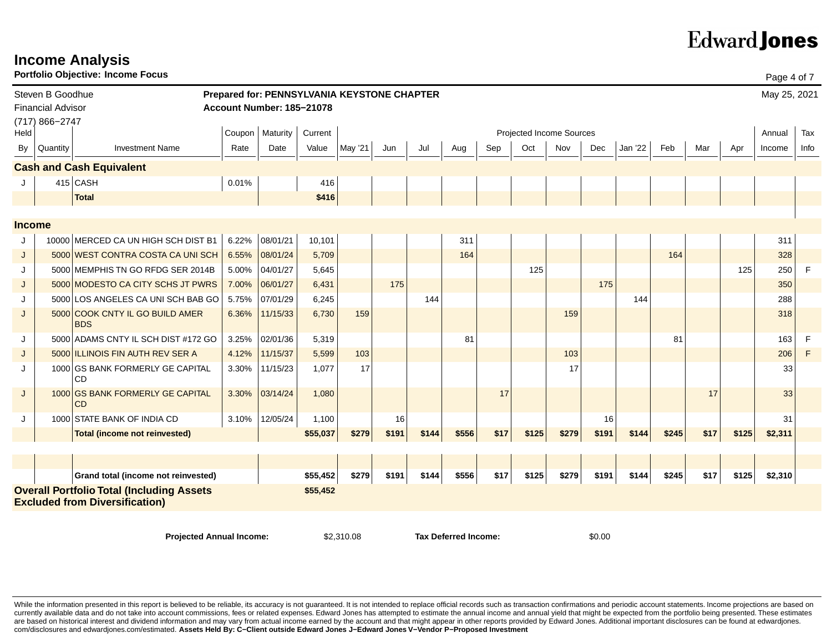| <b>Portfolio Objective: Income Focus</b><br>Page 4 of 7 |                                                                                                       |                                                 |       |                                             |            |         |       |                             |       |      |       |                          |       |         |       |      |       |              |      |
|---------------------------------------------------------|-------------------------------------------------------------------------------------------------------|-------------------------------------------------|-------|---------------------------------------------|------------|---------|-------|-----------------------------|-------|------|-------|--------------------------|-------|---------|-------|------|-------|--------------|------|
|                                                         | Steven B Goodhue                                                                                      |                                                 |       | Prepared for: PENNSYLVANIA KEYSTONE CHAPTER |            |         |       |                             |       |      |       |                          |       |         |       |      |       | May 25, 2021 |      |
|                                                         | <b>Financial Advisor</b>                                                                              |                                                 |       | Account Number: 185-21078                   |            |         |       |                             |       |      |       |                          |       |         |       |      |       |              |      |
|                                                         | (717) 866-2747                                                                                        |                                                 |       | Coupon   Maturity                           | Current    |         |       |                             |       |      |       | Projected Income Sources |       |         |       |      |       | Annual       | Tax  |
| Held                                                    |                                                                                                       |                                                 |       |                                             |            |         |       |                             |       |      |       |                          |       |         |       |      |       |              |      |
| <b>By</b>                                               | Quantity                                                                                              | <b>Investment Name</b>                          | Rate  | Date                                        | Value      | May '21 | Jun   | Jul                         | Aug   | Sep  | Oct   | Nov                      | Dec   | Jan '22 | Feb   | Mar  | Apr   | Income       | Info |
|                                                         |                                                                                                       | <b>Cash and Cash Equivalent</b>                 |       |                                             |            |         |       |                             |       |      |       |                          |       |         |       |      |       |              |      |
|                                                         |                                                                                                       | $415$ CASH                                      | 0.01% |                                             | 416        |         |       |                             |       |      |       |                          |       |         |       |      |       |              |      |
|                                                         |                                                                                                       | <b>Total</b>                                    |       |                                             | \$416      |         |       |                             |       |      |       |                          |       |         |       |      |       |              |      |
|                                                         |                                                                                                       |                                                 |       |                                             |            |         |       |                             |       |      |       |                          |       |         |       |      |       |              |      |
| <b>Income</b>                                           |                                                                                                       |                                                 |       |                                             |            |         |       |                             |       |      |       |                          |       |         |       |      |       |              |      |
| J                                                       |                                                                                                       | 10000 MERCED CA UN HIGH SCH DIST B1             | 6.22% | 08/01/21                                    | 10,101     |         |       |                             | 311   |      |       |                          |       |         |       |      |       | 311          |      |
| J                                                       |                                                                                                       | 5000 WEST CONTRA COSTA CA UNI SCH               | 6.55% | 08/01/24                                    | 5,709      |         |       |                             | 164   |      |       |                          |       |         | 164   |      |       | 328          |      |
| J                                                       |                                                                                                       | 5000 MEMPHIS TN GO RFDG SER 2014B               | 5.00% | 04/01/27                                    | 5,645      |         |       |                             |       |      | 125   |                          |       |         |       |      | 125   | 250          | F    |
| J                                                       |                                                                                                       | 5000 MODESTO CA CITY SCHS JT PWRS               | 7.00% | 06/01/27                                    | 6,431      |         | 175   |                             |       |      |       |                          | 175   |         |       |      |       | 350          |      |
| J                                                       |                                                                                                       | 5000 LOS ANGELES CA UNI SCH BAB GO              | 5.75% | 07/01/29                                    | 6,245      |         |       | 144                         |       |      |       |                          |       | 144     |       |      |       | 288          |      |
| J                                                       | 5000                                                                                                  | <b>COOK CNTY IL GO BUILD AMER</b><br><b>BDS</b> | 6.36% | 11/15/33                                    | 6,730      | 159     |       |                             |       |      |       | 159                      |       |         |       |      |       | 318          |      |
| J                                                       |                                                                                                       | 5000 ADAMS CNTY IL SCH DIST #172 GO             | 3.25% | 02/01/36                                    | 5,319      |         |       |                             | 81    |      |       |                          |       |         | 81    |      |       | 163          | F    |
| J                                                       |                                                                                                       | 5000 ILLINOIS FIN AUTH REV SER A                | 4.12% | 11/15/37                                    | 5,599      | 103     |       |                             |       |      |       | 103                      |       |         |       |      |       | 206          | F    |
| J                                                       |                                                                                                       | 1000 GS BANK FORMERLY GE CAPITAL<br>CD.         | 3.30% | 11/15/23                                    | 1,077      | 17      |       |                             |       |      |       | 17                       |       |         |       |      |       | 33           |      |
| J                                                       |                                                                                                       | 1000 GS BANK FORMERLY GE CAPITAL<br><b>CD</b>   | 3.30% | 03/14/24                                    | 1,080      |         |       |                             |       | 17   |       |                          |       |         |       | 17   |       | 33           |      |
| J                                                       |                                                                                                       | 1000 STATE BANK OF INDIA CD                     | 3.10% | 12/05/24                                    | 1,100      |         | 16    |                             |       |      |       |                          | 16    |         |       |      |       | 31           |      |
|                                                         |                                                                                                       | <b>Total (income not reinvested)</b>            |       |                                             | \$55,037   | \$279   | \$191 | \$144                       | \$556 | \$17 | \$125 | \$279                    | \$191 | \$144   | \$245 | \$17 | \$125 | \$2,311      |      |
|                                                         |                                                                                                       |                                                 |       |                                             |            |         |       |                             |       |      |       |                          |       |         |       |      |       |              |      |
|                                                         |                                                                                                       |                                                 |       |                                             |            |         |       |                             |       |      |       |                          |       |         |       |      |       |              |      |
|                                                         |                                                                                                       | Grand total (income not reinvested)             |       |                                             | \$55,452   | \$279   | \$191 | \$144                       | \$556 | \$17 | \$125 | \$279                    | \$191 | \$144   | \$245 | \$17 | \$125 | \$2,310      |      |
|                                                         | <b>Overall Portfolio Total (Including Assets</b><br>\$55,452<br><b>Excluded from Diversification)</b> |                                                 |       |                                             |            |         |       |                             |       |      |       |                          |       |         |       |      |       |              |      |
|                                                         |                                                                                                       |                                                 |       |                                             |            |         |       |                             |       |      |       |                          |       |         |       |      |       |              |      |
|                                                         |                                                                                                       | <b>Projected Annual Income:</b>                 |       |                                             | \$2,310.08 |         |       | <b>Tax Deferred Income:</b> |       |      |       | \$0.00                   |       |         |       |      |       |              |      |

**Income Analysis**

While the information presented in this report is believed to be reliable, its accuracy is not guaranteed. It is not intended to replace official records such as transaction confirmations and periodic account statements. I currently available data and do not take into account commissions, fees or related expenses. Edward Jones has attempted to estimate the annual income and annual yield that might be expected from the portfolio being present are based on historical interest and dividend information and may vary from actual income earned by the account and that might appear in other reports provided by Edward Jones. Additional important disclosures can be found com/disclosures and edwardjones.com/estimated. **Assets Held By: C−Client outside Edward Jones J−Edward Jones V−Vendor P−Proposed Investment**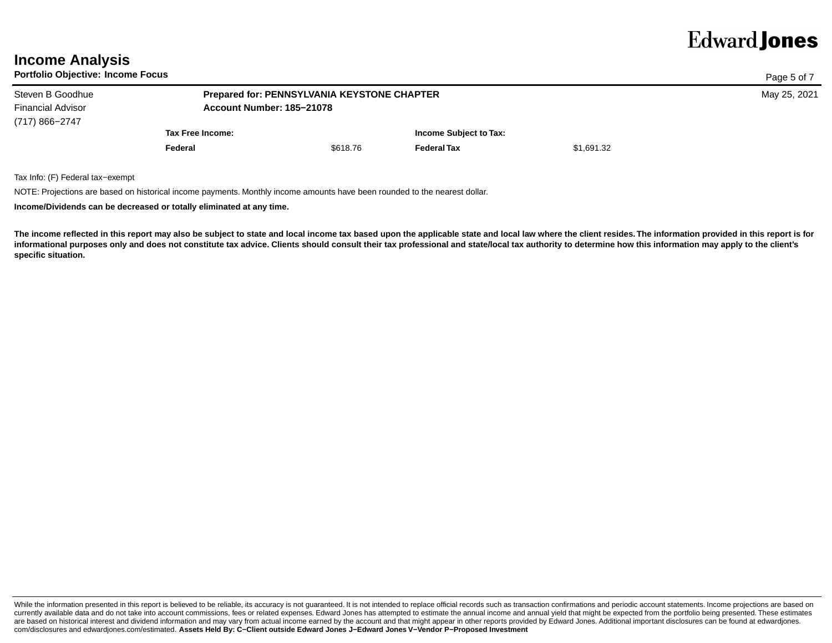| <b>Income Analysis</b> |
|------------------------|
|                        |

**Portfolio Objective: Income Focus**

| Portfolio Objective: Income Focus |                                             |                           |                        |            |  |  |  |  |  |
|-----------------------------------|---------------------------------------------|---------------------------|------------------------|------------|--|--|--|--|--|
| Steven B Goodhue                  | Prepared for: PENNSYLVANIA KEYSTONE CHAPTER | May 25, 2021              |                        |            |  |  |  |  |  |
| <b>Financial Advisor</b>          |                                             | Account Number: 185-21078 |                        |            |  |  |  |  |  |
| (717) 866-2747                    |                                             |                           |                        |            |  |  |  |  |  |
|                                   | Tax Free Income:                            |                           | Income Subject to Tax: |            |  |  |  |  |  |
|                                   | Federal                                     | \$618.76                  | <b>Federal Tax</b>     | \$1,691.32 |  |  |  |  |  |
|                                   |                                             |                           |                        |            |  |  |  |  |  |

Tax Info: (F) Federal tax−exempt

NOTE: Projections are based on historical income payments. Monthly income amounts have been rounded to the nearest dollar.

**Income/Dividends can be decreased or totally eliminated at any time.**

**The income reflected in this report may also be subject to state and local income tax based upon the applicable state and local law where the client resides. The information provided in this report is for** informational purposes only and does not constitute tax advice. Clients should consult their tax professional and state/local tax authority to determine how this information may apply to the client's **specific situation.** 

While the information presented in this report is believed to be reliable, its accuracy is not guaranteed. It is not intended to replace official records such as transaction confirmations and periodic account statements. I currently available data and do not take into account commissions, fees or related expenses. Edward Jones has attempted to estimate the annual income and annual yield that might be expected from the portfolio being present are based on historical interest and dividend information and may vary from actual income earned by the account and that might appear in other reports provided by Edward Jones. Additional important disclosures can be found com/disclosures and edwardjones.com/estimated. **Assets Held By: C−Client outside Edward Jones J−Edward Jones V−Vendor P−Proposed Investment**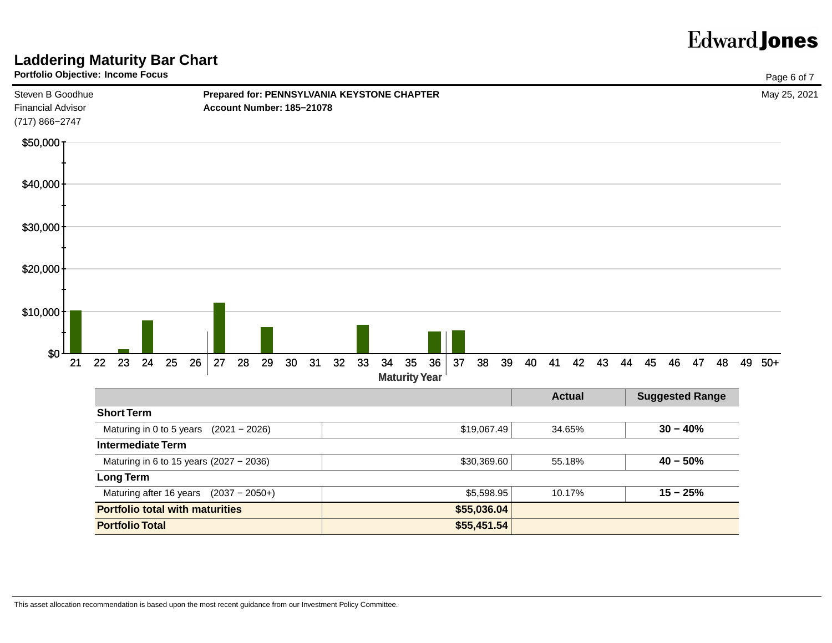## **Laddering Maturity Bar Chart**

## **Portfolio Objective: Income Focus**



|                                          |             | <b>Actual</b> | <b>Suggested Range</b> |
|------------------------------------------|-------------|---------------|------------------------|
| <b>Short Term</b>                        |             |               |                        |
| Maturing in 0 to 5 years $(2021 - 2026)$ | \$19,067.49 | 34.65%        | $30 - 40%$             |
| <b>Intermediate Term</b>                 |             |               |                        |
| Maturing in 6 to 15 years (2027 - 2036)  | \$30,369.60 | 55.18%        | $40 - 50%$             |
| Long Term                                |             |               |                        |
| Maturing after 16 years $(2037 - 2050+)$ | \$5,598.95  | 10.17%        | $15 - 25%$             |
| <b>Portfolio total with maturities</b>   | \$55,036.04 |               |                        |
| <b>Portfolio Total</b>                   | \$55,451.54 |               |                        |

This asset allocation recommendation is based upon the most recent guidance from our Investment Policy Committee.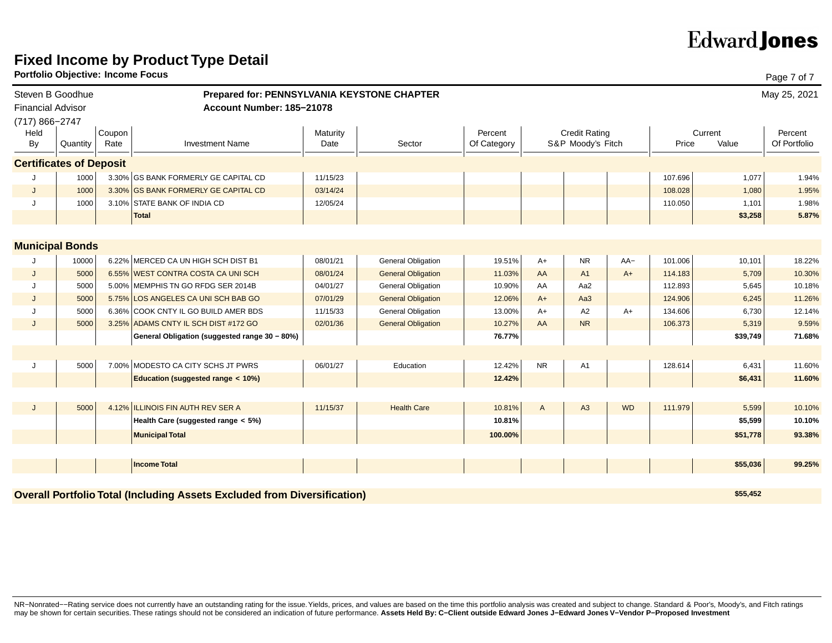## **Fixed Income by Product Type Detail**

**Portfolio Objective: Income Focus**

|                          | Portfolio Objective: Income Focus |        |                                                                                 |          |                           |             |           |                      |           |         |          | Page 7 of 7  |
|--------------------------|-----------------------------------|--------|---------------------------------------------------------------------------------|----------|---------------------------|-------------|-----------|----------------------|-----------|---------|----------|--------------|
|                          | Steven B Goodhue                  |        | Prepared for: PENNSYLVANIA KEYSTONE CHAPTER                                     |          |                           |             |           |                      |           |         |          | May 25, 2021 |
| <b>Financial Advisor</b> |                                   |        | Account Number: 185-21078                                                       |          |                           |             |           |                      |           |         |          |              |
| (717) 866-2747           |                                   |        |                                                                                 |          |                           |             |           |                      |           |         |          |              |
| Held                     |                                   | Coupon |                                                                                 | Maturity |                           | Percent     |           | <b>Credit Rating</b> |           |         | Current  | Percent      |
| By                       | Quantity                          | Rate   | <b>Investment Name</b>                                                          | Date     | Sector                    | Of Category |           | S&P Moody's Fitch    |           | Price   | Value    | Of Portfolio |
|                          | <b>Certificates of Deposit</b>    |        |                                                                                 |          |                           |             |           |                      |           |         |          |              |
|                          | 1000                              |        | 3.30% GS BANK FORMERLY GE CAPITAL CD                                            | 11/15/23 |                           |             |           |                      |           | 107.696 | 1,077    | 1.94%        |
| J                        | 1000                              |        | 3.30% GS BANK FORMERLY GE CAPITAL CD                                            | 03/14/24 |                           |             |           |                      |           | 108.028 | 1,080    | 1.95%        |
| J                        | 1000                              |        | 3.10% STATE BANK OF INDIA CD                                                    | 12/05/24 |                           |             |           |                      |           | 110.050 | 1,101    | 1.98%        |
|                          |                                   |        | <b>Total</b>                                                                    |          |                           |             |           |                      |           |         | \$3,258  | 5.87%        |
|                          |                                   |        |                                                                                 |          |                           |             |           |                      |           |         |          |              |
|                          | <b>Municipal Bonds</b>            |        |                                                                                 |          |                           |             |           |                      |           |         |          |              |
|                          | 10000                             |        | 6.22% MERCED CA UN HIGH SCH DIST B1                                             | 08/01/21 | <b>General Obligation</b> | 19.51%      | $A+$      | <b>NR</b>            | $AA-$     | 101.006 | 10,101   | 18.22%       |
| J                        | 5000                              |        | 6.55% WEST CONTRA COSTA CA UNI SCH                                              | 08/01/24 | <b>General Obligation</b> | 11.03%      | AA        | A <sub>1</sub>       | $A+$      | 114.183 | 5,709    | 10.30%       |
| Π.                       | 5000                              |        | 5.00% MEMPHIS TN GO RFDG SER 2014B                                              | 04/01/27 | <b>General Obligation</b> | 10.90%      | AA        | Aa2                  |           | 112.893 | 5,645    | 10.18%       |
| J                        | 5000                              |        | 5.75% LOS ANGELES CA UNI SCH BAB GO                                             | 07/01/29 | <b>General Obligation</b> | 12.06%      | $A+$      | Aa3                  |           | 124.906 | 6,245    | 11.26%       |
|                          | 5000                              |        | 6.36% COOK CNTY IL GO BUILD AMER BDS                                            | 11/15/33 | <b>General Obligation</b> | 13.00%      | $A+$      | A2                   | $A+$      | 134.606 | 6,730    | 12.14%       |
| J                        | 5000                              |        | 3.25% ADAMS CNTY IL SCH DIST #172 GO                                            | 02/01/36 | <b>General Obligation</b> | 10.27%      | AA        | <b>NR</b>            |           | 106.373 | 5,319    | 9.59%        |
|                          |                                   |        | General Obligation (suggested range 30 - 80%)                                   |          |                           | 76.77%      |           |                      |           |         | \$39,749 | 71.68%       |
|                          |                                   |        |                                                                                 |          |                           |             |           |                      |           |         |          |              |
| J                        | 5000                              |        | 7.00% MODESTO CA CITY SCHS JT PWRS                                              | 06/01/27 | Education                 | 12.42%      | <b>NR</b> | A <sub>1</sub>       |           | 128.614 | 6,431    | 11.60%       |
|                          |                                   |        | Education (suggested range < 10%)                                               |          |                           | 12.42%      |           |                      |           |         | \$6,431  | 11.60%       |
|                          |                                   |        |                                                                                 |          |                           |             |           |                      |           |         |          |              |
| J                        | 5000                              |        | 4.12% ILLINOIS FIN AUTH REV SER A                                               | 11/15/37 | <b>Health Care</b>        | 10.81%      | A         | A3                   | <b>WD</b> | 111.979 | 5,599    | 10.10%       |
|                          |                                   |        | Health Care (suggested range < 5%)                                              |          |                           | 10.81%      |           |                      |           |         | \$5,599  | 10.10%       |
|                          |                                   |        | <b>Municipal Total</b>                                                          |          |                           | 100.00%     |           |                      |           |         | \$51,778 | 93.38%       |
|                          |                                   |        |                                                                                 |          |                           |             |           |                      |           |         |          |              |
|                          |                                   |        | Income Total                                                                    |          |                           |             |           |                      |           |         | \$55,036 | 99.25%       |
|                          |                                   |        |                                                                                 |          |                           |             |           |                      |           |         |          |              |
|                          |                                   |        | <b>Overall Portfolio Total (Including Assets Excluded from Diversification)</b> |          |                           |             |           |                      |           |         | \$55,452 |              |

NR-Nonrated--Rating service does not currently have an outstanding rating for the issue. Yields, prices, and values are based on the time this portfolio analysis was created and subject to change. Standard & Poor's, Moody' may be shown for certain securities. These ratings should not be considered an indication of future performance. **Assets Held By: C−Client outside Edward Jones J−Edward Jones V−Vendor P−Proposed Investment**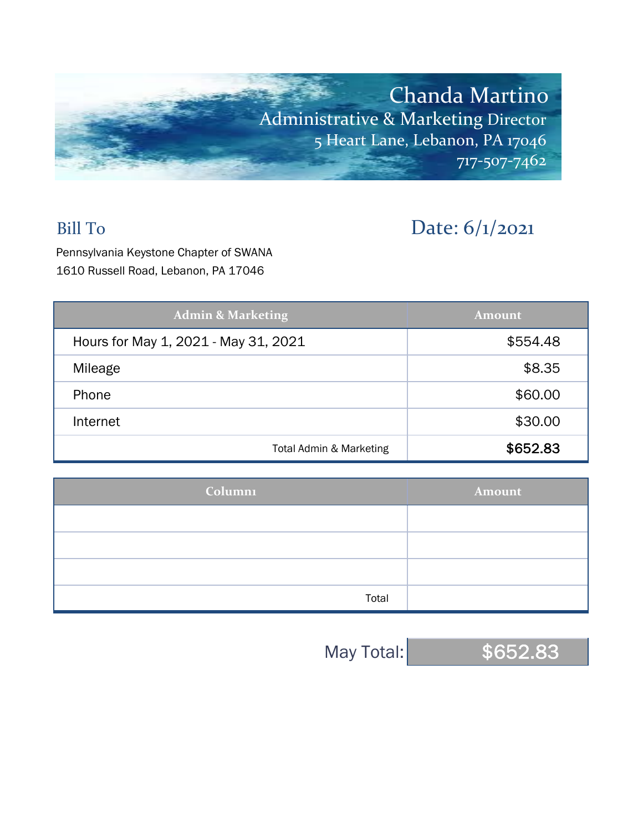

## Bill To Date: 6/1/2021

Pennsylvania Keystone Chapter of SWANA 1610 Russell Road, Lebanon, PA 17046

| <b>Admin &amp; Marketing</b>         | <b>Amount</b> |
|--------------------------------------|---------------|
| Hours for May 1, 2021 - May 31, 2021 | \$554.48      |
| Mileage                              | \$8.35        |
| Phone                                | \$60.00       |
| Internet                             | \$30.00       |
| Total Admin & Marketing              | \$652.83      |

| Columni | Amount |
|---------|--------|
|         |        |
|         |        |
|         |        |
| Total   |        |

May Total: \$652.83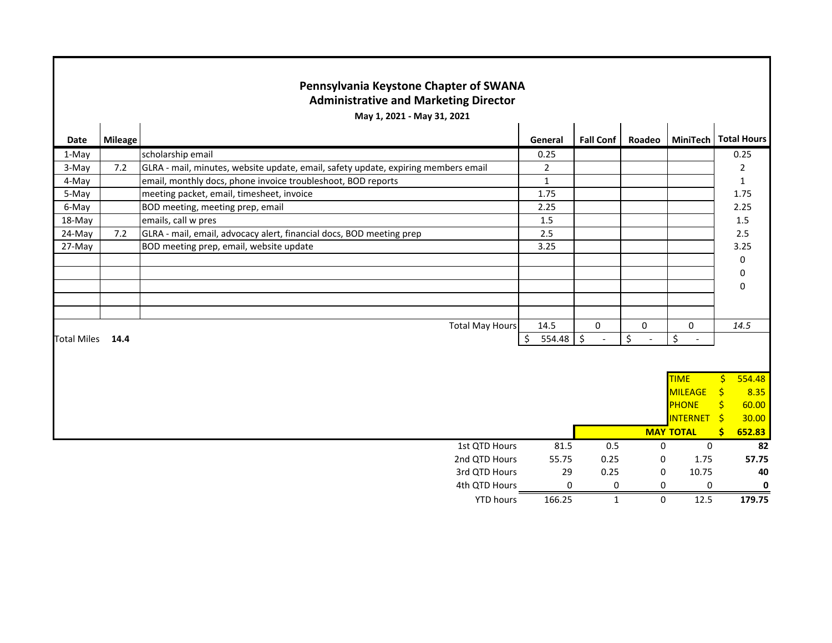|                    | Pennsylvania Keystone Chapter of SWANA<br><b>Administrative and Marketing Director</b> |                                                                                    |              |                  |             |                        |               |        |  |  |
|--------------------|----------------------------------------------------------------------------------------|------------------------------------------------------------------------------------|--------------|------------------|-------------|------------------------|---------------|--------|--|--|
|                    | May 1, 2021 - May 31, 2021                                                             |                                                                                    |              |                  |             |                        |               |        |  |  |
| Date               | <b>Mileage</b>                                                                         |                                                                                    | General      | <b>Fall Conf</b> | Roadeo      | MiniTech   Total Hours |               |        |  |  |
| 1-May              |                                                                                        | scholarship email                                                                  | 0.25         |                  |             |                        |               | 0.25   |  |  |
| 3-May              | 7.2                                                                                    | GLRA - mail, minutes, website update, email, safety update, expiring members email | $\sqrt{2}$   |                  |             |                        |               | 2      |  |  |
| 4-May              |                                                                                        | email, monthly docs, phone invoice troubleshoot, BOD reports                       | $\mathbf{1}$ |                  |             |                        |               | 1      |  |  |
| 5-May              |                                                                                        | meeting packet, email, timesheet, invoice                                          | 1.75         |                  |             |                        |               | 1.75   |  |  |
| 6-May              |                                                                                        | BOD meeting, meeting prep, email                                                   | 2.25         |                  |             |                        |               | 2.25   |  |  |
| 18-May             |                                                                                        | emails, call w pres                                                                | $1.5\,$      |                  |             |                        |               | 1.5    |  |  |
| 24-May             | 7.2                                                                                    | GLRA - mail, email, advocacy alert, financial docs, BOD meeting prep               | 2.5          |                  |             |                        |               | 2.5    |  |  |
| 27-May             |                                                                                        | BOD meeting prep, email, website update                                            | 3.25         |                  |             |                        |               | 3.25   |  |  |
|                    |                                                                                        |                                                                                    |              |                  |             |                        |               | 0      |  |  |
|                    |                                                                                        |                                                                                    |              |                  |             |                        |               | 0      |  |  |
|                    |                                                                                        |                                                                                    |              |                  |             |                        |               | 0      |  |  |
|                    |                                                                                        |                                                                                    |              |                  |             |                        |               |        |  |  |
|                    |                                                                                        |                                                                                    |              |                  |             |                        |               |        |  |  |
|                    |                                                                                        | <b>Total May Hours</b>                                                             | 14.5         | 0                | $\mathbf 0$ | $\mathbf 0$            |               | 14.5   |  |  |
| <b>Total Miles</b> | 14.4                                                                                   |                                                                                    | 554.48<br>\$ | \$               | \$          | \$                     |               |        |  |  |
|                    |                                                                                        |                                                                                    |              |                  |             |                        |               |        |  |  |
|                    |                                                                                        |                                                                                    |              |                  |             |                        |               |        |  |  |
|                    |                                                                                        |                                                                                    |              |                  |             | <b>TIME</b>            | Ŝ.            | 554.48 |  |  |
|                    |                                                                                        |                                                                                    |              |                  |             | <b>MILEAGE</b>         | $\frac{1}{2}$ | 8.35   |  |  |
|                    |                                                                                        |                                                                                    |              |                  |             | <b>PHONE</b>           | <b>S</b>      | 60.00  |  |  |
|                    |                                                                                        |                                                                                    |              |                  |             | <b>INTERNET</b>        | -\$           | 30.00  |  |  |
|                    |                                                                                        |                                                                                    |              |                  |             | <b>MAY TOTAL</b>       | Ŝ             | 652.83 |  |  |
|                    |                                                                                        | 1st QTD Hours                                                                      | 81.5         | 0.5              | 0           | 0                      |               | 82     |  |  |
|                    |                                                                                        | 2nd QTD Hours                                                                      | 55.75        | 0.25             | 0           | 1.75                   |               | 57.75  |  |  |
|                    |                                                                                        | 3rd QTD Hours                                                                      | 29           | 0.25             | 0           | 10.75                  |               | 40     |  |  |
|                    |                                                                                        | 4th QTD Hours                                                                      | 0            | 0                | 0           | 0                      |               | 0      |  |  |
|                    |                                                                                        | <b>YTD hours</b>                                                                   | 166.25       | $\mathbf{1}$     | 0           | 12.5                   |               | 179.75 |  |  |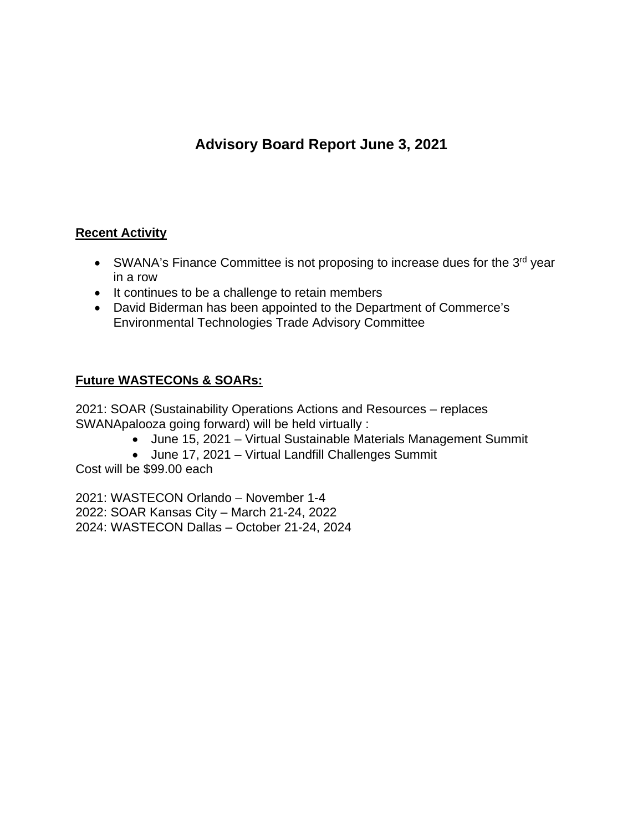## **Advisory Board Report June 3, 2021**

## **Recent Activity**

- SWANA's Finance Committee is not proposing to increase dues for the 3<sup>rd</sup> year in a row
- It continues to be a challenge to retain members
- David Biderman has been appointed to the Department of Commerce's Environmental Technologies Trade Advisory Committee

## **Future WASTECONs & SOARs:**

2021: SOAR (Sustainability Operations Actions and Resources – replaces SWANApalooza going forward) will be held virtually :

- June 15, 2021 Virtual Sustainable Materials Management Summit
- June 17, 2021 Virtual Landfill Challenges Summit

Cost will be \$99.00 each

2021: WASTECON Orlando – November 1-4 2022: SOAR Kansas City – March 21-24, 2022 2024: WASTECON Dallas – October 21-24, 2024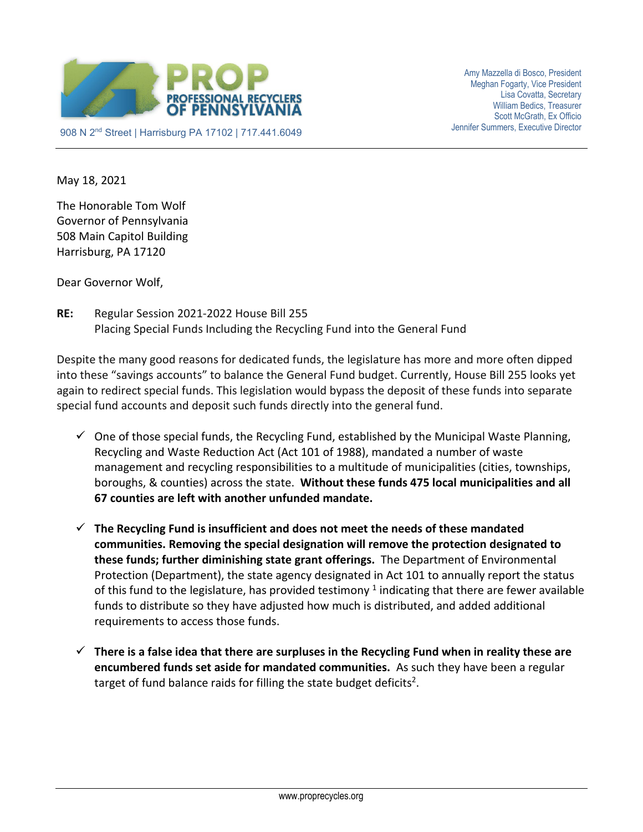

May 18, 2021

The Honorable Tom Wolf Governor of Pennsylvania 508 Main Capitol Building Harrisburg, PA 17120

Dear Governor Wolf,

**RE:** Regular Session 2021-2022 House Bill 255 Placing Special Funds Including the Recycling Fund into the General Fund

Despite the many good reasons for dedicated funds, the legislature has more and more often dipped into these "savings accounts" to balance the General Fund budget. Currently, House Bill 255 looks yet again to redirect special funds. This legislation would bypass the deposit of these funds into separate special fund accounts and deposit such funds directly into the general fund.

- $\checkmark$  One of those special funds, the Recycling Fund, established by the Municipal Waste Planning, Recycling and Waste Reduction Act (Act 101 of 1988), mandated a number of waste management and recycling responsibilities to a multitude of municipalities (cities, townships, boroughs, & counties) across the state. **Without these funds 475 local municipalities and all 67 counties are left with another unfunded mandate.**
- **The Recycling Fund is insufficient and does not meet the needs of these mandated communities. Removing the special designation will remove the protection designated to these funds; further diminishing state grant offerings.** The Department of Environmental Protection (Department), the state agency designated in Act 101 to annually report the status of this fund to the legislature, has provided testimony  $1$  indicating that there are fewer available funds to distribute so they have adjusted how much is distributed, and added additional requirements to access those funds.
- **There is a false idea that there are surpluses in the Recycling Fund when in reality these are encumbered funds set aside for mandated communities.** As such they have been a regular target of fund balance raids for filling the state budget deficits<sup>2</sup>.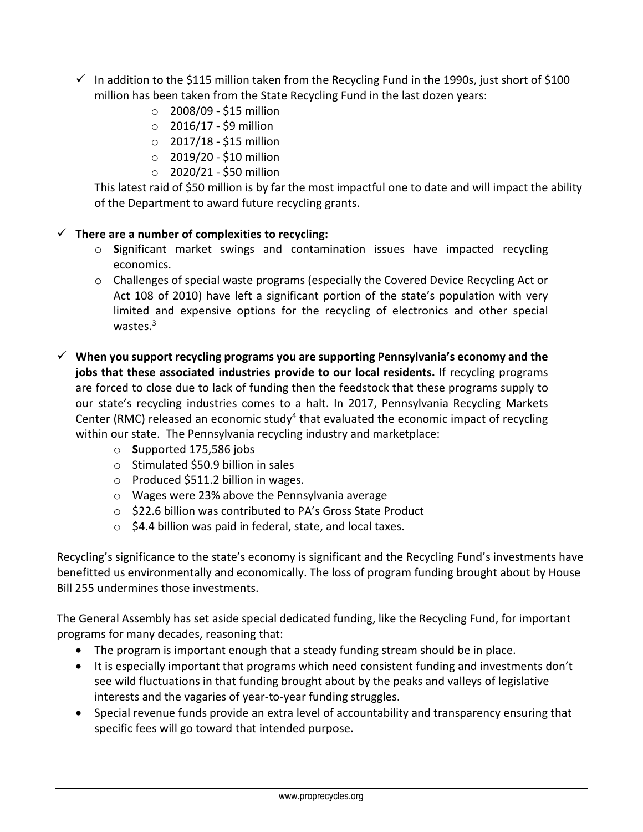- $\checkmark$  In addition to the \$115 million taken from the Recycling Fund in the 1990s, just short of \$100 million has been taken from the State Recycling Fund in the last dozen years:
	- $\circ$  2008/09 \$15 million
	- $\circ$  2016/17 \$9 million
	- $\circ$  2017/18 \$15 million
	- o 2019/20 \$10 million
	- $O$  2020/21 \$50 million

This latest raid of \$50 million is by far the most impactful one to date and will impact the ability of the Department to award future recycling grants.

## **There are a number of complexities to recycling:**

- o **S**ignificant market swings and contamination issues have impacted recycling economics.
- o Challenges of special waste programs (especially the Covered Device Recycling Act or Act 108 of 2010) have left a significant portion of the state's population with very limited and expensive options for the recycling of electronics and other special wastes.<sup>3</sup>
- **When you support recycling programs you are supporting Pennsylvania's economy and the jobs that these associated industries provide to our local residents.** If recycling programs are forced to close due to lack of funding then the feedstock that these programs supply to our state's recycling industries comes to a halt. In 2017, Pennsylvania Recycling Markets Center (RMC) released an economic study<sup>4</sup> that evaluated the economic impact of recycling within our state. The Pennsylvania recycling industry and marketplace:
	- o **S**upported 175,586 jobs
	- o Stimulated \$50.9 billion in sales
	- o Produced \$511.2 billion in wages.
	- o Wages were 23% above the Pennsylvania average
	- o \$22.6 billion was contributed to PA's Gross State Product
	- $\circ$  \$4.4 billion was paid in federal, state, and local taxes.

Recycling's significance to the state's economy is significant and the Recycling Fund's investments have benefitted us environmentally and economically. The loss of program funding brought about by House Bill 255 undermines those investments.

The General Assembly has set aside special dedicated funding, like the Recycling Fund, for important programs for many decades, reasoning that:

- The program is important enough that a steady funding stream should be in place.
- It is especially important that programs which need consistent funding and investments don't see wild fluctuations in that funding brought about by the peaks and valleys of legislative interests and the vagaries of year-to-year funding struggles.
- Special revenue funds provide an extra level of accountability and transparency ensuring that specific fees will go toward that intended purpose.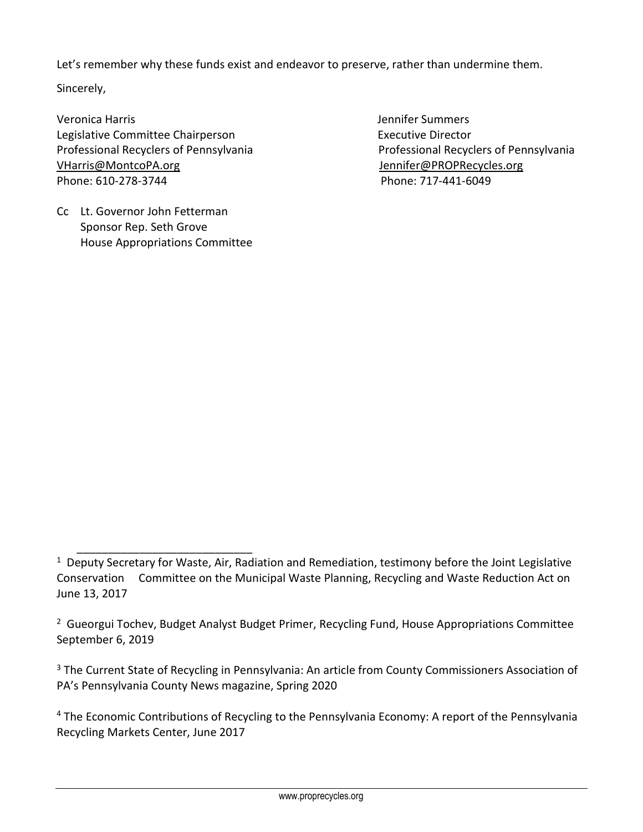Let's remember why these funds exist and endeavor to preserve, rather than undermine them.

Sincerely,

Veronica Harris Jennifer Summers Legislative Committee Chairperson **Executive Director** Executive Director Professional Recyclers of Pennsylvania Professional Recyclers of Pennsylvania [VHarris@MontcoPA.org](mailto:VHarris@MontcoPA.org) [Jennifer@PROPRecycles.org](mailto:Jennifer@PROPRecycles.org) Phone: 610-278-3744 Phone: 717-441-6049

Cc Lt. Governor John Fetterman Sponsor Rep. Seth Grove House Appropriations Committee

 $\overline{\phantom{a}}$  , and the contract of the contract of the contract of the contract of the contract of the contract of the contract of the contract of the contract of the contract of the contract of the contract of the contrac

 $1$  Deputy Secretary for Waste, Air, Radiation and Remediation, testimony before the Joint Legislative Conservation Committee on the Municipal Waste Planning, Recycling and Waste Reduction Act on June 13, 2017

<sup>&</sup>lt;sup>2</sup> Gueorgui Tochev, Budget Analyst Budget Primer, Recycling Fund, House Appropriations Committee September 6, 2019

<sup>&</sup>lt;sup>3</sup> The Current State of Recycling in Pennsylvania: An article from County Commissioners Association of PA's Pennsylvania County News magazine, Spring 2020

<sup>&</sup>lt;sup>4</sup> The Economic Contributions of Recycling to the Pennsylvania Economy: A report of the Pennsylvania Recycling Markets Center, June 2017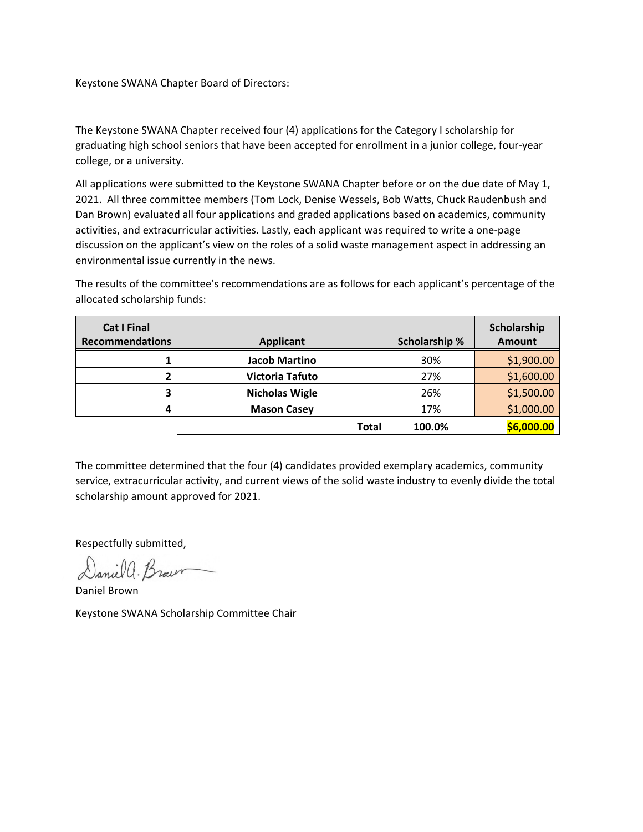## Keystone SWANA Chapter Board of Directors:

The Keystone SWANA Chapter received four (4) applications for the Category I scholarship for graduating high school seniors that have been accepted for enrollment in a junior college, four-year college, or a university.

All applications were submitted to the Keystone SWANA Chapter before or on the due date of May 1, 2021. All three committee members (Tom Lock, Denise Wessels, Bob Watts, Chuck Raudenbush and Dan Brown) evaluated all four applications and graded applications based on academics, community activities, and extracurricular activities. Lastly, each applicant was required to write a one-page discussion on the applicant's view on the roles of a solid waste management aspect in addressing an environmental issue currently in the news.

The results of the committee's recommendations are as follows for each applicant's percentage of the allocated scholarship funds:

| <b>Cat I Final</b><br><b>Recommendations</b> | <b>Applicant</b>      | <b>Scholarship %</b> | Scholarship<br><b>Amount</b> |
|----------------------------------------------|-----------------------|----------------------|------------------------------|
|                                              | <b>Jacob Martino</b>  | 30%                  | \$1,900.00                   |
| ר                                            | Victoria Tafuto       | 27%                  | \$1,600.00                   |
| З                                            | <b>Nicholas Wigle</b> | 26%                  | \$1,500.00                   |
| 4                                            | <b>Mason Casey</b>    | 17%                  | \$1,000.00                   |
|                                              | <b>Total</b>          | 100.0%               | \$6,000.00                   |

The committee determined that the four (4) candidates provided exemplary academics, community service, extracurricular activity, and current views of the solid waste industry to evenly divide the total scholarship amount approved for 2021.

Respectfully submitted,

Daniel a. Brown

Daniel Brown Keystone SWANA Scholarship Committee Chair